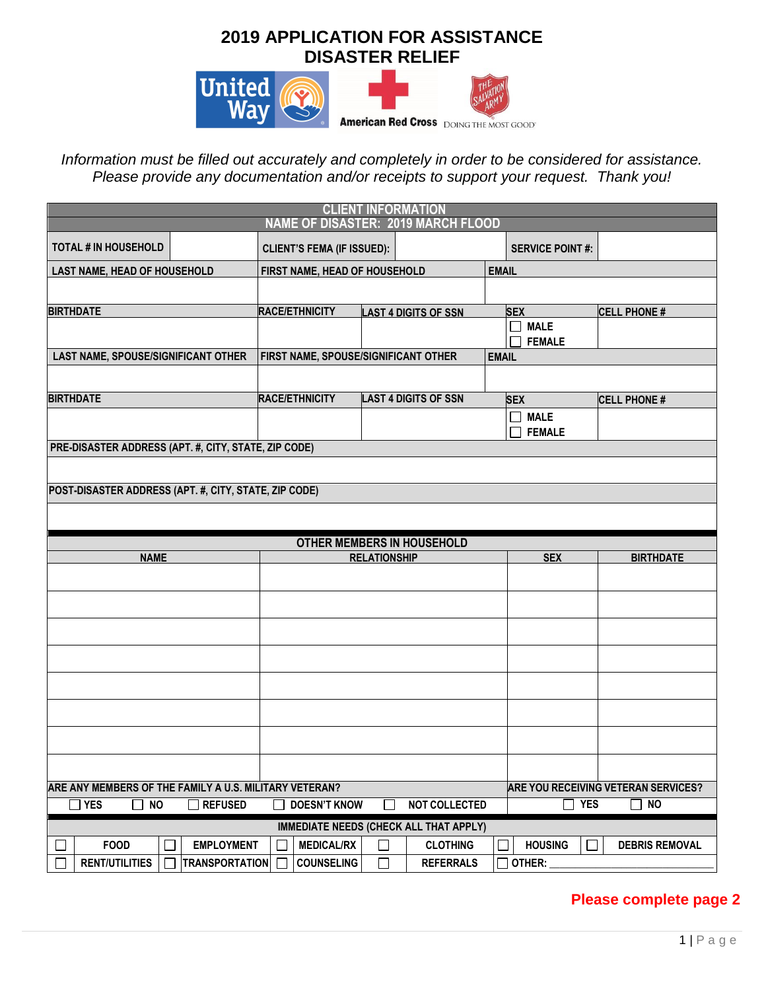## **2019 APPLICATION FOR ASSISTANCE DISASTER RELIEF**



*Information must be filled out accurately and completely in order to be considered for assistance. Please provide any documentation and/or receipts to support your request. Thank you!*

| <b>CLIENT INFORMATION</b><br><b>NAME OF DISASTER: 2019 MARCH FLOOD</b> |                                            |                                               |                             |                                     |                        |                                      |                                            |  |
|------------------------------------------------------------------------|--------------------------------------------|-----------------------------------------------|-----------------------------|-------------------------------------|------------------------|--------------------------------------|--------------------------------------------|--|
|                                                                        |                                            |                                               |                             |                                     |                        |                                      |                                            |  |
| <b>TOTAL # IN HOUSEHOLD</b>                                            |                                            | <b>CLIENT'S FEMA (IF ISSUED):</b>             |                             |                                     | <b>SERVICE POINT#:</b> |                                      |                                            |  |
| LAST NAME, HEAD OF HOUSEHOLD                                           |                                            | FIRST NAME, HEAD OF HOUSEHOLD                 |                             |                                     | <b>EMAIL</b>           |                                      |                                            |  |
|                                                                        |                                            |                                               |                             |                                     |                        |                                      |                                            |  |
| <b>BIRTHDATE</b>                                                       |                                            | RACE/ETHNICITY<br><b>LAST 4 DIGITS OF SSN</b> |                             | <b>SEX</b>                          |                        | <b>CELL PHONE#</b>                   |                                            |  |
|                                                                        |                                            |                                               |                             |                                     | $\mathsf{L}$           | <b>MALE</b><br><b>FEMALE</b>         |                                            |  |
| LAST NAME, SPOUSE/SIGNIFICANT OTHER                                    |                                            | FIRST NAME, SPOUSE/SIGNIFICANT OTHER          |                             |                                     | <b>EMAIL</b>           |                                      |                                            |  |
|                                                                        |                                            |                                               |                             |                                     |                        |                                      |                                            |  |
| <b>BIRTHDATE</b>                                                       |                                            | RACE/ETHNICITY                                | <b>LAST 4 DIGITS OF SSN</b> |                                     | <b>SEX</b>             |                                      | <b>CELL PHONE#</b>                         |  |
|                                                                        |                                            |                                               |                             |                                     | $\mathsf{L}$           | $\Box$ MALE<br><b>FEMALE</b>         |                                            |  |
| PRE-DISASTER ADDRESS (APT. #, CITY, STATE, ZIP CODE)                   |                                            |                                               |                             |                                     |                        |                                      |                                            |  |
|                                                                        |                                            |                                               |                             |                                     |                        |                                      |                                            |  |
|                                                                        |                                            |                                               |                             |                                     |                        |                                      |                                            |  |
| POST-DISASTER ADDRESS (APT. #, CITY, STATE, ZIP CODE)                  |                                            |                                               |                             |                                     |                        |                                      |                                            |  |
|                                                                        |                                            |                                               |                             |                                     |                        |                                      |                                            |  |
|                                                                        |                                            |                                               |                             |                                     |                        |                                      |                                            |  |
|                                                                        |                                            | <b>OTHER MEMBERS IN HOUSEHOLD</b>             |                             |                                     |                        |                                      |                                            |  |
| <b>NAME</b>                                                            |                                            |                                               | <b>RELATIONSHIP</b>         |                                     |                        | <b>SEX</b>                           | <b>BIRTHDATE</b>                           |  |
|                                                                        |                                            |                                               |                             |                                     |                        |                                      |                                            |  |
|                                                                        |                                            |                                               |                             |                                     |                        |                                      |                                            |  |
|                                                                        |                                            |                                               |                             |                                     |                        |                                      |                                            |  |
|                                                                        |                                            |                                               |                             |                                     |                        |                                      |                                            |  |
|                                                                        |                                            |                                               |                             |                                     |                        |                                      |                                            |  |
|                                                                        |                                            |                                               |                             |                                     |                        |                                      |                                            |  |
|                                                                        |                                            |                                               |                             |                                     |                        |                                      |                                            |  |
|                                                                        |                                            |                                               |                             |                                     |                        |                                      |                                            |  |
|                                                                        |                                            |                                               |                             |                                     |                        |                                      |                                            |  |
| ARE ANY MEMBERS OF THE FAMILY A U.S. MILITARY VETERAN?                 |                                            |                                               |                             |                                     |                        |                                      | <b>ARE YOU RECEIVING VETERAN SERVICES?</b> |  |
| ] YES<br><b>NO</b>                                                     | <b>REFUSED</b><br>$\blacksquare$           | <b>DOESN'T KNOW</b>                           |                             | <b>NOT COLLECTED</b>                |                        | $\Box$ YES                           | $\square$ NO                               |  |
|                                                                        |                                            | <b>IMMEDIATE NEEDS (CHECK ALL THAT APPLY)</b> |                             |                                     |                        |                                      |                                            |  |
| <b>FOOD</b><br><b>RENT/UTILITIES</b>                                   | <b>EMPLOYMENT</b><br><b>TRANSPORTATION</b> | <b>MEDICAL/RX</b><br><b>COUNSELING</b>        |                             | <b>CLOTHING</b><br><b>REFERRALS</b> |                        | <b>HOUSING</b><br>$\sim 1$<br>OTHER: | <b>DEBRIS REMOVAL</b>                      |  |

## **Please complete page 2**